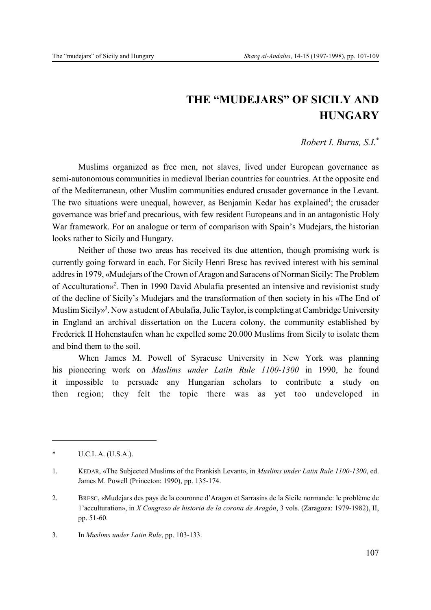## **THE "MUDEJARS" OF SICILY AND HUNGARY**

## *Robert I. Burns, S.I.*\*

Muslims organized as free men, not slaves, lived under European governance as semi-autonomous communities in medieval Iberian countries for countries. At the opposite end of the Mediterranean, other Muslim communities endured crusader governance in the Levant. The two situations were unequal, however, as Benjamin Kedar has explained<sup>1</sup>; the crusader governance was brief and precarious, with few resident Europeans and in an antagonistic Holy War framework. For an analogue or term of comparison with Spain's Mudejars, the historian looks rather to Sicily and Hungary.

Neither of those two areas has received its due attention, though promising work is currently going forward in each. For Sicily Henri Bresc has revived interest with his seminal addres in 1979, «Mudejars of the Crown of Aragon and Saracens of Norman Sicily: The Problem of Acculturation»<sup>2</sup>. Then in 1990 David Abulafia presented an intensive and revisionist study of the decline of Sicily's Mudejars and the transformation of then society in his «The End of Muslim Sicily»<sup>3</sup>. Now a student of Abulafia, Julie Taylor, is completing at Cambridge University in England an archival dissertation on the Lucera colony, the community established by Frederick II Hohenstaufen whan he expelled some 20.000 Muslims from Sicily to isolate them and bind them to the soil.

When James M. Powell of Syracuse University in New York was planning his pioneering work on *Muslims under Latin Rule 1100-1300* in 1990, he found it impossible to persuade any Hungarian scholars to contribute a study on then region; they felt the topic there was as yet too undeveloped in

3. In *Muslims under Latin Rule*, pp. 103-133.

<sup>\*</sup> U.C.L.A. (U.S.A.).

<sup>1.</sup> KEDAR, «The Subjected Muslims of the Frankish Levant», in *Muslims under Latin Rule 1100-1300*, ed. James M. Powell (Princeton: 1990), pp. 135-174.

<sup>2.</sup> BRESC, «Mudejars des pays de la couronne d'Aragon et Sarrasins de la Sicile normande: le problème de 1'acculturation», in *X Congreso de historia de la corona de Aragón*, 3 vols. (Zaragoza: 1979-1982), II, pp. 51-60.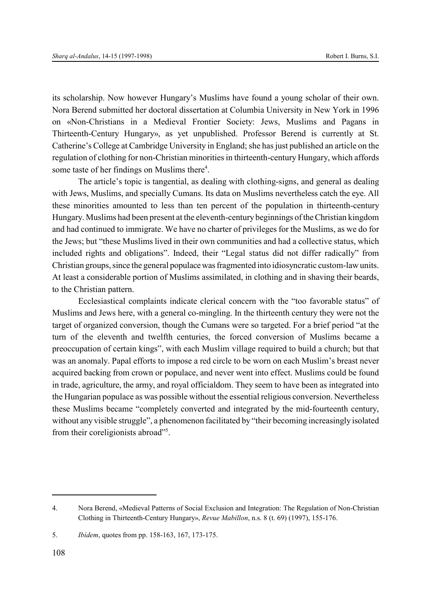its scholarship. Now however Hungary's Muslims have found a young scholar of their own. Nora Berend submitted her doctoral dissertation at Columbia University in New York in 1996 on «Non-Christians in a Medieval Frontier Society: Jews, Muslims and Pagans in Thirteenth-Century Hungary», as yet unpublished. Professor Berend is currently at St. Catherine's College at Cambridge University in England; she has just published an article on the regulation of clothing for non-Christian minorities in thirteenth-century Hungary, which affords some taste of her findings on Muslims there<sup>4</sup>.

The article's topic is tangential, as dealing with clothing-signs, and general as dealing with Jews, Muslims, and specially Cumans. Its data on Muslims nevertheless catch the eye. All these minorities amounted to less than ten percent of the population in thirteenth-century Hungary. Muslims had been present at the eleventh-century beginnings of the Christian kingdom and had continued to immigrate. We have no charter of privileges for the Muslims, as we do for the Jews; but "these Muslims lived in their own communities and had a collective status, which included rights and obligations". Indeed, their "Legal status did not differ radically" from Christian groups, since the general populace was fragmented into idiosyncratic custom-law units. At least a considerable portion of Muslims assimilated, in clothing and in shaving their beards, to the Christian pattern.

Ecclesiastical complaints indicate clerical concern with the "too favorable status" of Muslims and Jews here, with a general co-mingling. In the thirteenth century they were not the target of organized conversion, though the Cumans were so targeted. For a brief period "at the turn of the eleventh and twelfth centuries, the forced conversion of Muslims became a preoccupation of certain kings", with each Muslim village required to build a church; but that was an anomaly. Papal efforts to impose a red circle to be worn on each Muslim's breast never acquired backing from crown or populace, and never went into effect. Muslims could be found in trade, agriculture, the army, and royal officialdom. They seem to have been as integrated into the Hungarian populace as was possible without the essential religious conversion. Nevertheless these Muslims became "completely converted and integrated by the mid-fourteenth century, without any visible struggle", a phenomenon facilitated by "their becoming increasingly isolated from their coreligionists abroad"<sup>5</sup>.

<sup>4.</sup> Nora Berend, «Medieval Patterns of Social Exclusion and Integration: The Regulation of Non-Christian Clothing in Thirteenth-Century Hungary», *Revue Mabillon*, n.s. 8 (t. 69) (1997), 155-176.

<sup>5.</sup> *Ibídem*, quotes from pp. 158-163, 167, 173-175.